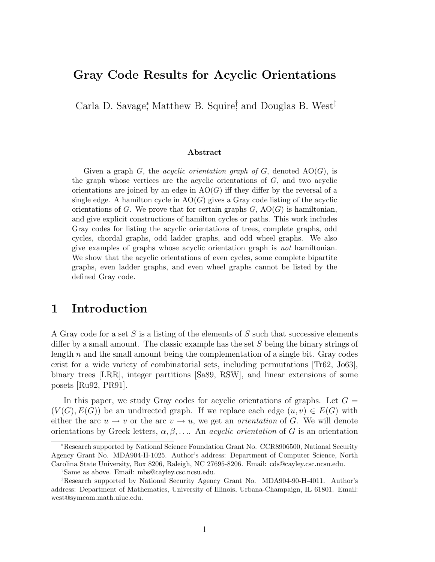### Gray Code Results for Acyclic Orientations

Carla D. Savage<sup>\*</sup>, Matthew B. Squire<sup>†</sup> and Douglas B. West<sup>‡</sup>

#### Abstract

Given a graph G, the *acyclic orientation graph of G*, denoted  $AO(G)$ , is the graph whose vertices are the acyclic orientations of  $G$ , and two acyclic orientations are joined by an edge in  $AO(G)$  iff they differ by the reversal of a single edge. A hamilton cycle in  $AO(G)$  gives a Gray code listing of the acyclic orientations of G. We prove that for certain graphs  $G$ ,  $AO(G)$  is hamiltonian, and give explicit constructions of hamilton cycles or paths. This work includes Gray codes for listing the acyclic orientations of trees, complete graphs, odd cycles, chordal graphs, odd ladder graphs, and odd wheel graphs. We also give examples of graphs whose acyclic orientation graph is not hamiltonian. We show that the acyclic orientations of even cycles, some complete bipartite graphs, even ladder graphs, and even wheel graphs cannot be listed by the defined Gray code.

## 1 Introduction

A Gray code for a set S is a listing of the elements of S such that successive elements differ by a small amount. The classic example has the set S being the binary strings of length  $n$  and the small amount being the complementation of a single bit. Gray codes exist for a wide variety of combinatorial sets, including permutations [Tr62, Jo63], binary trees [LRR], integer partitions [Sa89, RSW], and linear extensions of some posets [Ru92, PR91].

In this paper, we study Gray codes for acyclic orientations of graphs. Let  $G =$  $(V(G), E(G))$  be an undirected graph. If we replace each edge  $(u, v) \in E(G)$  with either the arc  $u \to v$  or the arc  $v \to u$ , we get an *orientation* of G. We will denote orientations by Greek letters,  $\alpha, \beta, \ldots$ . An *acyclic orientation* of G is an orientation

<sup>∗</sup>Research supported by National Science Foundation Grant No. CCR8906500, National Security Agency Grant No. MDA904-H-1025. Author's address: Department of Computer Science, North Carolina State University, Box 8206, Raleigh, NC 27695-8206. Email: cds@cayley.csc.ncsu.edu.

<sup>†</sup>Same as above. Email: mbs@cayley.csc.ncsu.edu.

<sup>‡</sup>Research supported by National Security Agency Grant No. MDA904-90-H-4011. Author's address: Department of Mathematics, University of Illinois, Urbana-Champaign, IL 61801. Email: west@symcom.math.uiuc.edu.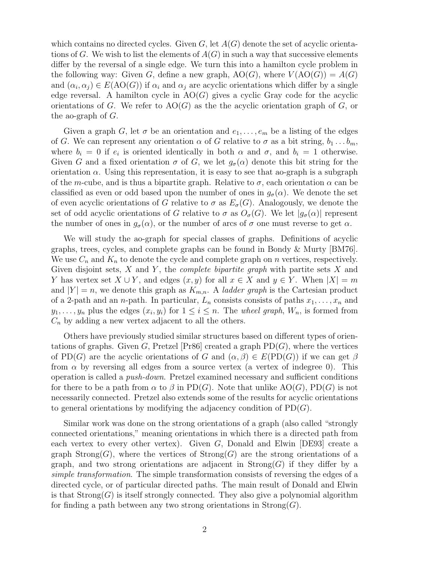which contains no directed cycles. Given  $G$ , let  $A(G)$  denote the set of acyclic orientations of G. We wish to list the elements of  $A(G)$  in such a way that successive elements differ by the reversal of a single edge. We turn this into a hamilton cycle problem in the following way: Given G, define a new graph,  $AO(G)$ , where  $V(AO(G)) = A(G)$ and  $(\alpha_i, \alpha_j) \in E(AO(G))$  if  $\alpha_i$  and  $\alpha_j$  are acyclic orientations which differ by a single edge reversal. A hamilton cycle in  $AO(G)$  gives a cyclic Gray code for the acyclic orientations of G. We refer to  $AO(G)$  as the the acyclic orientation graph of G, or the ao-graph of  $G$ .

Given a graph G, let  $\sigma$  be an orientation and  $e_1, \ldots, e_m$  be a listing of the edges of G. We can represent any orientation  $\alpha$  of G relative to  $\sigma$  as a bit string,  $b_1 \ldots b_m$ , where  $b_i = 0$  if  $e_i$  is oriented identically in both  $\alpha$  and  $\sigma$ , and  $b_i = 1$  otherwise. Given G and a fixed orientation  $\sigma$  of G, we let  $g_{\sigma}(\alpha)$  denote this bit string for the orientation  $\alpha$ . Using this representation, it is easy to see that ao-graph is a subgraph of the m-cube, and is thus a bipartite graph. Relative to  $\sigma$ , each orientation  $\alpha$  can be classified as even or odd based upon the number of ones in  $g_{\sigma}(\alpha)$ . We denote the set of even acyclic orientations of G relative to  $\sigma$  as  $E_{\sigma}(G)$ . Analogously, we denote the set of odd acyclic orientations of G relative to  $\sigma$  as  $O_{\sigma}(G)$ . We let  $|g_{\sigma}(\alpha)|$  represent the number of ones in  $g_{\sigma}(\alpha)$ , or the number of arcs of  $\sigma$  one must reverse to get  $\alpha$ .

We will study the ao-graph for special classes of graphs. Definitions of acyclic graphs, trees, cycles, and complete graphs can be found in Bondy & Murty [BM76]. We use  $C_n$  and  $K_n$  to denote the cycle and complete graph on n vertices, respectively. Given disjoint sets,  $X$  and  $Y$ , the *complete bipartite graph* with partite sets  $X$  and Y has vertex set  $X \cup Y$ , and edges  $(x, y)$  for all  $x \in X$  and  $y \in Y$ . When  $|X| = m$ and  $|Y| = n$ , we denote this graph as  $K_{m,n}$ . A *ladder graph* is the Cartesian product of a 2-path and an *n*-path. In particular,  $L_n$  consists consists of paths  $x_1, \ldots, x_n$  and  $y_1, \ldots, y_n$  plus the edges  $(x_i, y_i)$  for  $1 \leq i \leq n$ . The *wheel graph*,  $W_n$ , is formed from  $C_n$  by adding a new vertex adjacent to all the others.

Others have previously studied similar structures based on different types of orientations of graphs. Given G, Pretzel  $[Pr86]$  created a graph  $PD(G)$ , where the vertices of PD(G) are the acyclic orientations of G and  $(\alpha, \beta) \in E(PD(G))$  if we can get  $\beta$ from  $\alpha$  by reversing all edges from a source vertex (a vertex of indegree 0). This operation is called a push-down. Pretzel examined necessary and sufficient conditions for there to be a path from  $\alpha$  to  $\beta$  in PD(G). Note that unlike AO(G), PD(G) is not necessarily connected. Pretzel also extends some of the results for acyclic orientations to general orientations by modifying the adjacency condition of  $PD(G)$ .

Similar work was done on the strong orientations of a graph (also called "strongly connected orientations," meaning orientations in which there is a directed path from each vertex to every other vertex). Given  $G$ , Donald and Elwin [DE93] create a graph Strong(G), where the vertices of  $Strong(G)$  are the strong orientations of a graph, and two strong orientations are adjacent in  $Strong(G)$  if they differ by a simple transformation. The simple transformation consists of reversing the edges of a directed cycle, or of particular directed paths. The main result of Donald and Elwin is that  $Strong(G)$  is itself strongly connected. They also give a polynomial algorithm for finding a path between any two strong orientations in  $Strong(G)$ .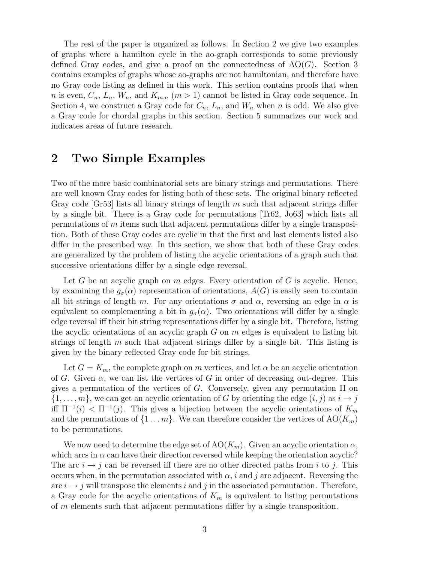The rest of the paper is organized as follows. In Section 2 we give two examples of graphs where a hamilton cycle in the ao-graph corresponds to some previously defined Gray codes, and give a proof on the connectedness of  $AO(G)$ . Section 3 contains examples of graphs whose ao-graphs are not hamiltonian, and therefore have no Gray code listing as defined in this work. This section contains proofs that when n is even,  $C_n$ ,  $L_n$ ,  $W_n$ , and  $K_{m,n}$   $(m > 1)$  cannot be listed in Gray code sequence. In Section 4, we construct a Gray code for  $C_n$ ,  $L_n$ , and  $W_n$  when n is odd. We also give a Gray code for chordal graphs in this section. Section 5 summarizes our work and indicates areas of future research.

# 2 Two Simple Examples

Two of the more basic combinatorial sets are binary strings and permutations. There are well known Gray codes for listing both of these sets. The original binary reflected Gray code  $|\text{Gr53}|$  lists all binary strings of length m such that adjacent strings differ by a single bit. There is a Gray code for permutations [Tr62, Jo63] which lists all permutations of m items such that adjacent permutations differ by a single transposition. Both of these Gray codes are cyclic in that the first and last elements listed also differ in the prescribed way. In this section, we show that both of these Gray codes are generalized by the problem of listing the acyclic orientations of a graph such that successive orientations differ by a single edge reversal.

Let G be an acyclic graph on  $m$  edges. Every orientation of  $G$  is acyclic. Hence, by examining the  $g_{\sigma}(\alpha)$  representation of orientations,  $A(G)$  is easily seen to contain all bit strings of length m. For any orientations  $\sigma$  and  $\alpha$ , reversing an edge in  $\alpha$  is equivalent to complementing a bit in  $g_{\sigma}(\alpha)$ . Two orientations will differ by a single edge reversal iff their bit string representations differ by a single bit. Therefore, listing the acyclic orientations of an acyclic graph  $G$  on  $m$  edges is equivalent to listing bit strings of length  $m$  such that adjacent strings differ by a single bit. This listing is given by the binary reflected Gray code for bit strings.

Let  $G = K_m$ , the complete graph on m vertices, and let  $\alpha$  be an acyclic orientation of G. Given  $\alpha$ , we can list the vertices of G in order of decreasing out-degree. This gives a permutation of the vertices of G. Conversely, given any permutation  $\Pi$  on  $\{1,\ldots,m\}$ , we can get an acyclic orientation of G by orienting the edge  $(i, j)$  as  $i \to j$ iff  $\Pi^{-1}(i) < \Pi^{-1}(j)$ . This gives a bijection between the acyclic orientations of  $K_m$ and the permutations of  $\{1 \dots m\}$ . We can therefore consider the vertices of  $AO(K_m)$ to be permutations.

We now need to determine the edge set of  $AO(K_m)$ . Given an acyclic orientation  $\alpha$ , which arcs in  $\alpha$  can have their direction reversed while keeping the orientation acyclic? The arc  $i \rightarrow j$  can be reversed iff there are no other directed paths from i to j. This occurs when, in the permutation associated with  $\alpha$ , i and j are adjacent. Reversing the arc  $i \rightarrow j$  will transpose the elements i and j in the associated permutation. Therefore, a Gray code for the acyclic orientations of  $K_m$  is equivalent to listing permutations of m elements such that adjacent permutations differ by a single transposition.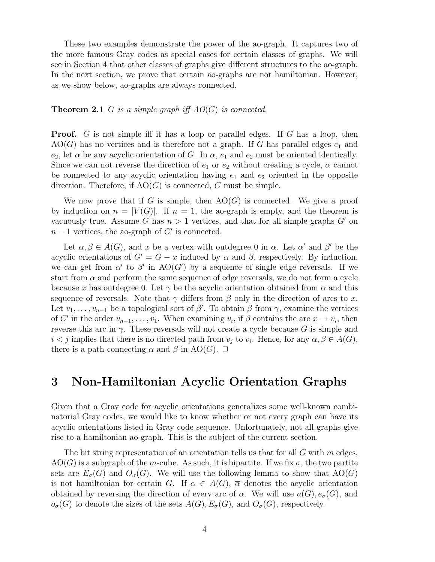These two examples demonstrate the power of the ao-graph. It captures two of the more famous Gray codes as special cases for certain classes of graphs. We will see in Section 4 that other classes of graphs give different structures to the ao-graph. In the next section, we prove that certain ao-graphs are not hamiltonian. However, as we show below, ao-graphs are always connected.

#### **Theorem 2.1** G is a simple graph iff  $AO(G)$  is connected.

**Proof.** G is not simple iff it has a loop or parallel edges. If G has a loop, then  $AO(G)$  has no vertices and is therefore not a graph. If G has parallel edges  $e_1$  and  $e_2$ , let  $\alpha$  be any acyclic orientation of G. In  $\alpha$ ,  $e_1$  and  $e_2$  must be oriented identically. Since we can not reverse the direction of  $e_1$  or  $e_2$  without creating a cycle,  $\alpha$  cannot be connected to any acyclic orientation having  $e_1$  and  $e_2$  oriented in the opposite direction. Therefore, if  $AO(G)$  is connected, G must be simple.

We now prove that if G is simple, then  $AO(G)$  is connected. We give a proof by induction on  $n = |V(G)|$ . If  $n = 1$ , the ao-graph is empty, and the theorem is vacuously true. Assume G has  $n > 1$  vertices, and that for all simple graphs G' on  $n-1$  vertices, the ao-graph of  $G'$  is connected.

Let  $\alpha, \beta \in A(G)$ , and x be a vertex with outdegree 0 in  $\alpha$ . Let  $\alpha'$  and  $\beta'$  be the acyclic orientations of  $G' = G - x$  induced by  $\alpha$  and  $\beta$ , respectively. By induction, we can get from  $\alpha'$  to  $\beta'$  in AO(G') by a sequence of single edge reversals. If we start from  $\alpha$  and perform the same sequence of edge reversals, we do not form a cycle because x has outdegree 0. Let  $\gamma$  be the acyclic orientation obtained from  $\alpha$  and this sequence of reversals. Note that  $\gamma$  differs from  $\beta$  only in the direction of arcs to x. Let  $v_1, \ldots, v_{n-1}$  be a topological sort of  $\beta'$ . To obtain  $\beta$  from  $\gamma$ , examine the vertices of G' in the order  $v_{n-1}, \ldots, v_1$ . When examining  $v_i$ , if  $\beta$  contains the arc  $x \to v_i$ , then reverse this arc in  $\gamma$ . These reversals will not create a cycle because G is simple and  $i < j$  implies that there is no directed path from  $v_j$  to  $v_i$ . Hence, for any  $\alpha, \beta \in A(G)$ , there is a path connecting  $\alpha$  and  $\beta$  in AO(G).  $\Box$ 

### 3 Non-Hamiltonian Acyclic Orientation Graphs

Given that a Gray code for acyclic orientations generalizes some well-known combinatorial Gray codes, we would like to know whether or not every graph can have its acyclic orientations listed in Gray code sequence. Unfortunately, not all graphs give rise to a hamiltonian ao-graph. This is the subject of the current section.

The bit string representation of an orientation tells us that for all  $G$  with  $m$  edges,  $AO(G)$  is a subgraph of the m-cube. As such, it is bipartite. If we fix  $\sigma$ , the two partite sets are  $E_{\sigma}(G)$  and  $O_{\sigma}(G)$ . We will use the following lemma to show that  $AO(G)$ is not hamiltonian for certain G. If  $\alpha \in A(G)$ ,  $\overline{\alpha}$  denotes the acyclic orientation obtained by reversing the direction of every arc of  $\alpha$ . We will use  $a(G), e_{\sigma}(G)$ , and  $o_{\sigma}(G)$  to denote the sizes of the sets  $A(G), E_{\sigma}(G)$ , and  $O_{\sigma}(G)$ , respectively.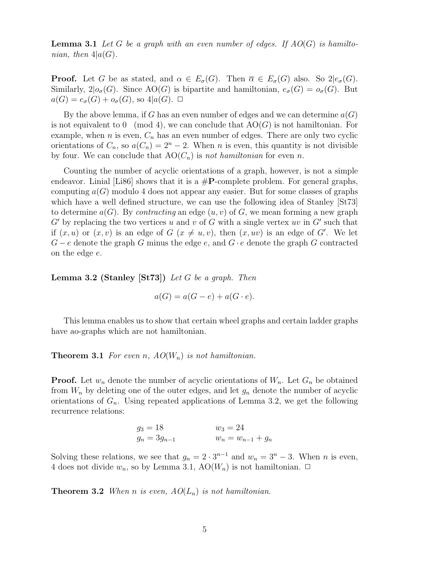**Lemma 3.1** Let G be a graph with an even number of edges. If  $AO(G)$  is hamiltonian, then  $4|a(G)|$ .

**Proof.** Let G be as stated, and  $\alpha \in E_{\sigma}(G)$ . Then  $\overline{\alpha} \in E_{\sigma}(G)$  also. So  $2|e_{\sigma}(G)$ . Similarly,  $2|o_{\sigma}(G)|$ . Since  $AO(G)$  is bipartite and hamiltonian,  $e_{\sigma}(G) = o_{\sigma}(G)$ . But  $a(G) = e_{\sigma}(G) + o_{\sigma}(G)$ , so  $4|a(G)$ .  $\Box$ 

By the above lemma, if G has an even number of edges and we can determine  $a(G)$ is not equivalent to  $0 \pmod{4}$ , we can conclude that  $AO(G)$  is not hamiltonian. For example, when *n* is even,  $C_n$  has an even number of edges. There are only two cyclic orientations of  $C_n$ , so  $a(C_n) = 2^n - 2$ . When n is even, this quantity is not divisible by four. We can conclude that  $AO(C_n)$  is not hamiltonian for even n.

Counting the number of acyclic orientations of a graph, however, is not a simple endeavor. Linial [Li86] shows that it is a  $\#P$ -complete problem. For general graphs, computing  $a(G)$  modulo 4 does not appear any easier. But for some classes of graphs which have a well defined structure, we can use the following idea of Stanley [St73] to determine  $a(G)$ . By *contracting* an edge  $(u, v)$  of G, we mean forming a new graph  $G'$  by replacing the two vertices u and v of G with a single vertex uv in  $G'$  such that if  $(x, u)$  or  $(x, v)$  is an edge of  $G$   $(x \neq u, v)$ , then  $(x, uv)$  is an edge of G'. We let  $G - e$  denote the graph G minus the edge e, and  $G \cdot e$  denote the graph G contracted on the edge e.

**Lemma 3.2 (Stanley [St73])** Let G be a graph. Then

$$
a(G) = a(G - e) + a(G \cdot e).
$$

This lemma enables us to show that certain wheel graphs and certain ladder graphs have ao-graphs which are not hamiltonian.

**Theorem 3.1** For even n,  $AO(W_n)$  is not hamiltonian.

**Proof.** Let  $w_n$  denote the number of acyclic orientations of  $W_n$ . Let  $G_n$  be obtained from  $W_n$  by deleting one of the outer edges, and let  $g_n$  denote the number of acyclic orientations of  $G_n$ . Using repeated applications of Lemma 3.2, we get the following recurrence relations:

$$
g_3 = 18
$$
  $w_3 = 24$   
\n $g_n = 3g_{n-1}$   $w_n = w_{n-1} + g_n$ 

Solving these relations, we see that  $g_n = 2 \cdot 3^{n-1}$  and  $w_n = 3^n - 3$ . When *n* is even, 4 does not divide  $w_n$ , so by Lemma 3.1,  $AO(W_n)$  is not hamiltonian.  $\Box$ 

**Theorem 3.2** When n is even,  $AO(L_n)$  is not hamiltonian.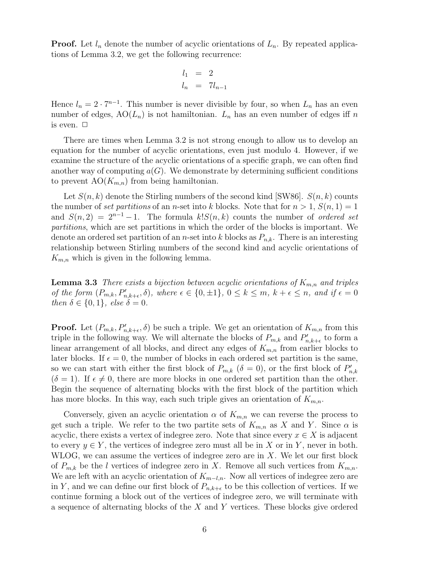**Proof.** Let  $l_n$  denote the number of acyclic orientations of  $L_n$ . By repeated applications of Lemma 3.2, we get the following recurrence:

$$
l_1 = 2
$$
  

$$
l_n = 7l_{n-1}
$$

Hence  $l_n = 2 \cdot 7^{n-1}$ . This number is never divisible by four, so when  $L_n$  has an even number of edges,  $AO(L_n)$  is not hamiltonian.  $L_n$  has an even number of edges iff n is even.  $\Box$ 

There are times when Lemma 3.2 is not strong enough to allow us to develop an equation for the number of acyclic orientations, even just modulo 4. However, if we examine the structure of the acyclic orientations of a specific graph, we can often find another way of computing  $a(G)$ . We demonstrate by determining sufficient conditions to prevent  $AO(K_{m,n})$  from being hamiltonian.

Let  $S(n, k)$  denote the Stirling numbers of the second kind [SW86].  $S(n, k)$  counts the number of set partitions of an n-set into k blocks. Note that for  $n > 1$ ,  $S(n, 1) = 1$ and  $S(n, 2) = 2^{n-1} - 1$ . The formula  $k!S(n, k)$  counts the number of *ordered set* partitions, which are set partitions in which the order of the blocks is important. We denote an ordered set partition of an *n*-set into k blocks as  $P_{n,k}$ . There is an interesting relationship between Stirling numbers of the second kind and acyclic orientations of  $K_{m,n}$  which is given in the following lemma.

**Lemma 3.3** There exists a bijection between acyclic orientations of  $K_{m,n}$  and triples of the form  $(P_{m,k}, P'_{n,k+\epsilon}, \delta)$ , where  $\epsilon \in \{0, \pm 1\}$ ,  $0 \leq k \leq m$ ,  $k+\epsilon \leq n$ , and if  $\epsilon = 0$ then  $\delta \in \{0,1\}$ , else  $\delta = 0$ .

**Proof.** Let  $(P_{m,k}, P'_{n,k+\epsilon}, \delta)$  be such a triple. We get an orientation of  $K_{m,n}$  from this triple in the following way. We will alternate the blocks of  $P_{m,k}$  and  $P'_n$  $_{n,k+\epsilon}^{\prime}$  to form a linear arrangement of all blocks, and direct any edges of  $K_{m,n}$  from earlier blocks to later blocks. If  $\epsilon = 0$ , the number of blocks in each ordered set partition is the same, so we can start with either the first block of  $P_{m,k}$  ( $\delta = 0$ ), or the first block of  $P'_n$  $_{n,k}$  $(\delta = 1)$ . If  $\epsilon \neq 0$ , there are more blocks in one ordered set partition than the other. Begin the sequence of alternating blocks with the first block of the partition which has more blocks. In this way, each such triple gives an orientation of  $K_{m,n}$ .

Conversely, given an acyclic orientation  $\alpha$  of  $K_{m,n}$  we can reverse the process to get such a triple. We refer to the two partite sets of  $K_{m,n}$  as X and Y. Since  $\alpha$  is acyclic, there exists a vertex of indegree zero. Note that since every  $x \in X$  is adjacent to every  $y \in Y$ , the vertices of indegree zero must all be in X or in Y, never in both. WLOG, we can assume the vertices of indegree zero are in  $X$ . We let our first block of  $P_{m,k}$  be the l vertices of indegree zero in X. Remove all such vertices from  $K_{m,n}$ . We are left with an acyclic orientation of  $K_{m-l,n}$ . Now all vertices of indegree zero are in Y, and we can define our first block of  $P_{n,k+\epsilon}$  to be this collection of vertices. If we continue forming a block out of the vertices of indegree zero, we will terminate with a sequence of alternating blocks of the X and Y vertices. These blocks give ordered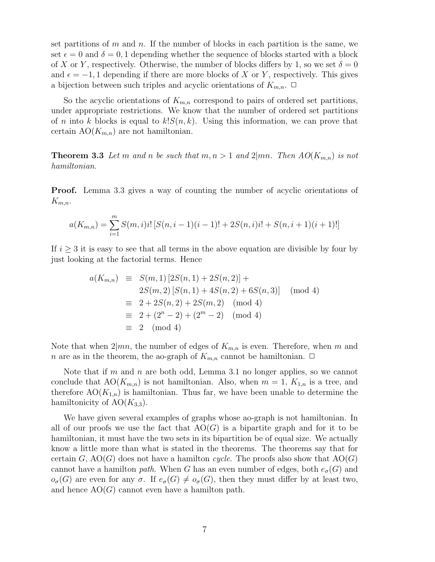set partitions of m and n. If the number of blocks in each partition is the same, we set  $\epsilon = 0$  and  $\delta = 0, 1$  depending whether the sequence of blocks started with a block of X or Y, respectively. Otherwise, the number of blocks differs by 1, so we set  $\delta = 0$ and  $\epsilon = -1, 1$  depending if there are more blocks of X or Y, respectively. This gives a bijection between such triples and acyclic orientations of  $K_{m,n}$ .  $\Box$ 

So the acyclic orientations of  $K_{m,n}$  correspond to pairs of ordered set partitions, under appropriate restrictions. We know that the number of ordered set partitions of n into k blocks is equal to  $k!S(n, k)$ . Using this information, we can prove that certain  $AO(K_{m,n})$  are not hamiltonian.

**Theorem 3.3** Let m and n be such that  $m, n > 1$  and  $2 | mn$ . Then  $AO(K_{m,n})$  is not hamiltonian.

Proof. Lemma 3.3 gives a way of counting the number of acyclic orientations of  $K_{m,n}$ .

$$
a(K_{m,n}) = \sum_{i=1}^{m} S(m,i)i! \left[ S(n,i-1)(i-1)! + 2S(n,i)i! + S(n,i+1)(i+1)! \right]
$$

If  $i \geq 3$  it is easy to see that all terms in the above equation are divisible by four by just looking at the factorial terms. Hence

$$
a(K_{m,n}) \equiv S(m,1) [2S(n,1) + 2S(n,2)] +
$$
  
\n
$$
2S(m,2) [S(n,1) + 4S(n,2) + 6S(n,3)] \pmod{4}
$$
  
\n
$$
\equiv 2 + 2S(n,2) + 2S(m,2) \pmod{4}
$$
  
\n
$$
\equiv 2 + (2^{n} - 2) + (2^{m} - 2) \pmod{4}
$$
  
\n
$$
\equiv 2 \pmod{4}
$$

Note that when  $2|mn$ , the number of edges of  $K_{m,n}$  is even. Therefore, when m and n are as in the theorem, the ao-graph of  $K_{m,n}$  cannot be hamiltonian.  $\Box$ 

Note that if m and n are both odd, Lemma 3.1 no longer applies, so we cannot conclude that  $AO(K_{m,n})$  is not hamiltonian. Also, when  $m = 1, K_{1,n}$  is a tree, and therefore  $AO(K_{1,n})$  is hamiltonian. Thus far, we have been unable to determine the hamiltonicity of  $AO(K_{3,3})$ .

We have given several examples of graphs whose ao-graph is not hamiltonian. In all of our proofs we use the fact that  $AO(G)$  is a bipartite graph and for it to be hamiltonian, it must have the two sets in its bipartition be of equal size. We actually know a little more than what is stated in the theorems. The theorems say that for certain G,  $AO(G)$  does not have a hamilton cycle. The proofs also show that  $AO(G)$ cannot have a hamilton path. When G has an even number of edges, both  $e_{\sigma}(G)$  and  $o_{\sigma}(G)$  are even for any  $\sigma$ . If  $e_{\sigma}(G) \neq o_{\sigma}(G)$ , then they must differ by at least two, and hence  $AO(G)$  cannot even have a hamilton path.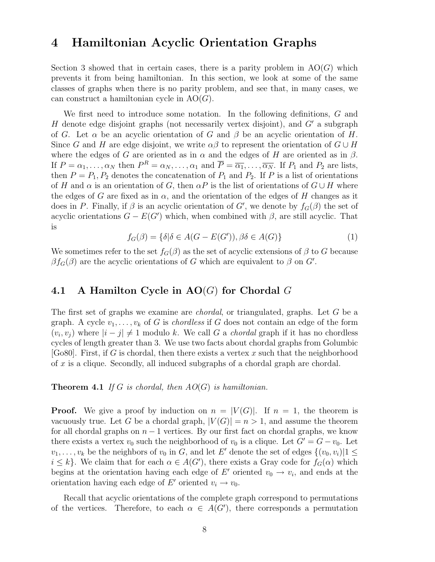### 4 Hamiltonian Acyclic Orientation Graphs

Section 3 showed that in certain cases, there is a parity problem in  $AO(G)$  which prevents it from being hamiltonian. In this section, we look at some of the same classes of graphs when there is no parity problem, and see that, in many cases, we can construct a hamiltonian cycle in  $AO(G)$ .

We first need to introduce some notation. In the following definitions, G and H denote edge disjoint graphs (not necessarily vertex disjoint), and  $G'$  a subgraph of G. Let  $\alpha$  be an acyclic orientation of G and  $\beta$  be an acyclic orientation of H. Since G and H are edge disjoint, we write  $\alpha\beta$  to represent the orientation of  $G \cup H$ where the edges of G are oriented as in  $\alpha$  and the edges of H are oriented as in  $\beta$ . If  $P = \alpha_1, \ldots, \alpha_N$  then  $P^R = \alpha_N, \ldots, \alpha_1$  and  $\overline{P} = \overline{\alpha_1}, \ldots, \overline{\alpha_N}$ . If  $P_1$  and  $P_2$  are lists, then  $P = P_1, P_2$  denotes the concatenation of  $P_1$  and  $P_2$ . If P is a list of orientations of H and  $\alpha$  is an orientation of G, then  $\alpha P$  is the list of orientations of  $G \cup H$  where the edges of G are fixed as in  $\alpha$ , and the orientation of the edges of H changes as it does in P. Finally, if  $\beta$  is an acyclic orientation of G', we denote by  $f_G(\beta)$  the set of acyclic orientations  $G - E(G')$  which, when combined with  $\beta$ , are still acyclic. That is

$$
f_G(\beta) = \{ \delta | \delta \in A(G - E(G')), \beta \delta \in A(G) \}
$$
 (1)

We sometimes refer to the set  $f_G(\beta)$  as the set of acyclic extensions of  $\beta$  to G because  $\beta f_G(\beta)$  are the acyclic orientations of G which are equivalent to  $\beta$  on G'.

### 4.1 A Hamilton Cycle in  $AO(G)$  for Chordal G

The first set of graphs we examine are *chordal*, or triangulated, graphs. Let G be a graph. A cycle  $v_1, \ldots, v_k$  of G is *chordless* if G does not contain an edge of the form  $(v_i, v_j)$  where  $|i - j| \neq 1$  modulo k. We call G a *chordal* graph if it has no chordless cycles of length greater than 3. We use two facts about chordal graphs from Golumbic  $[G_080]$ . First, if G is chordal, then there exists a vertex x such that the neighborhood of x is a clique. Secondly, all induced subgraphs of a chordal graph are chordal.

**Theorem 4.1** If G is chordal, then  $AO(G)$  is hamiltonian.

**Proof.** We give a proof by induction on  $n = |V(G)|$ . If  $n = 1$ , the theorem is vacuously true. Let G be a chordal graph,  $|V(G)| = n > 1$ , and assume the theorem for all chordal graphs on  $n-1$  vertices. By our first fact on chordal graphs, we know there exists a vertex  $v_0$  such the neighborhood of  $v_0$  is a clique. Let  $G' = G - v_0$ . Let  $v_1, \ldots, v_k$  be the neighbors of  $v_0$  in  $\tilde{G}$ , and let E' denote the set of edges  $\{(v_0, v_i) | 1 \leq i \leq k \}$  $i \leq k$ . We claim that for each  $\alpha \in A(G')$ , there exists a Gray code for  $f_G(\alpha)$  which begins at the orientation having each edge of E' oriented  $v_0 \to v_i$ , and ends at the orientation having each edge of  $E'$  oriented  $v_i \to v_0$ .

Recall that acyclic orientations of the complete graph correspond to permutations of the vertices. Therefore, to each  $\alpha \in A(G')$ , there corresponds a permutation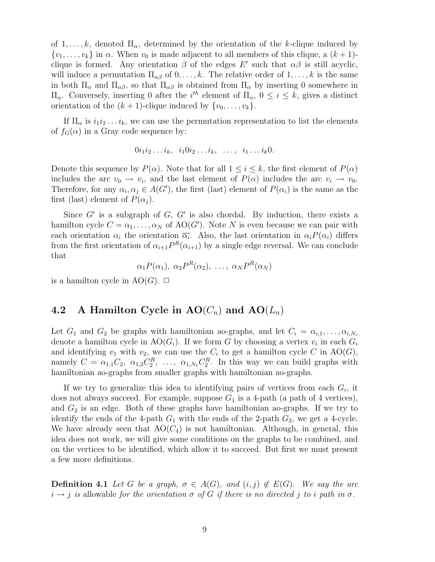of  $1, \ldots, k$ , denoted  $\Pi_{\alpha}$ , determined by the orientation of the k-clique induced by  $\{v_1, \ldots, v_k\}$  in  $\alpha$ . When  $v_0$  is made adjacent to all members of this clique, a  $(k+1)$ clique is formed. Any orientation  $\beta$  of the edges E' such that  $\alpha\beta$  is still acyclic, will induce a permutation  $\Pi_{\alpha\beta}$  of  $0, \ldots, k$ . The relative order of  $1, \ldots, k$  is the same in both  $\Pi_{\alpha}$  and  $\Pi_{\alpha\beta}$ , so that  $\Pi_{\alpha\beta}$  is obtained from  $\Pi_{\alpha}$  by inserting 0 somewhere in  $\Pi_{\alpha}$ . Conversely, inserting 0 after the *i*<sup>th</sup> element of  $\Pi_{\alpha}$ , 0 ≤ *i* ≤ *k*, gives a distinct orientation of the  $(k + 1)$ -clique induced by  $\{v_0, \ldots, v_k\}$ .

If  $\Pi_{\alpha}$  is  $i_1i_2...i_k$ , we can use the permutation representation to list the elements of  $f_G(\alpha)$  in a Gray code sequence by:

$$
0i_1i_2\ldots i_k, i_10i_2\ldots i_k, \ldots, i_1\ldots i_k0.
$$

Denote this sequence by  $P(\alpha)$ . Note that for all  $1 \leq i \leq k$ , the first element of  $P(\alpha)$ includes the arc  $v_0 \to v_i$ , and the last element of  $P(\alpha)$  includes the arc  $v_i \to v_0$ . Therefore, for any  $\alpha_i, \alpha_j \in A(G')$ , the first (last) element of  $P(\alpha_i)$  is the same as the first (last) element of  $P(\alpha_i)$ .

Since  $G'$  is a subgraph of  $G, G'$  is also chordal. By induction, there exists a hamilton cycle  $C = \alpha_1, \ldots, \alpha_N$  of  $AO(G')$ . Note N is even because we can pair with each orientation  $\alpha_i$  the orientation  $\overline{\alpha_i}$ . Also, the last orientation in  $\alpha_i P(\alpha_i)$  differs from the first orientation of  $\alpha_{i+1} P^{R}(\alpha_{i+1})$  by a single edge reversal. We can conclude that

 $\alpha_1 P(\alpha_1), \ \alpha_2 P^R(\alpha_2), \ \ldots, \ \alpha_N P^R(\alpha_N)$ 

is a hamilton cycle in  $AO(G)$ .  $\Box$ 

### 4.2 A Hamilton Cycle in  $AO(C_n)$  and  $AO(L_n)$

Let  $G_1$  and  $G_2$  be graphs with hamiltonian ao-graphs, and let  $C_i = \alpha_{i,1}, \ldots, \alpha_{i,N_i}$ denote a hamilton cycle in  $AO(G_i)$ . If we form G by choosing a vertex  $v_i$  in each  $G_i$ and identifying  $v_1$  with  $v_2$ , we can use the  $C_i$  to get a hamilton cycle C in AO(G), namely  $C = \alpha_{1,1} C_2, \ \alpha_{1,2} C_2^R, \ \ldots, \ \alpha_{1,N_1} C_2^R$ . In this way we can build graphs with hamiltonian ao-graphs from smaller graphs with hamiltonian ao-graphs.

If we try to generalize this idea to identifying pairs of vertices from each  $G_i$ , it does not always succeed. For example, suppose  $G_1$  is a 4-path (a path of 4 vertices), and  $G_2$  is an edge. Both of these graphs have hamiltonian ao-graphs. If we try to identify the ends of the 4-path  $G_1$  with the ends of the 2-path  $G_2$ , we get a 4-cycle. We have already seen that  $AO(C_4)$  is not hamiltonian. Although, in general, this idea does not work, we will give some conditions on the graphs to be combined, and on the vertices to be identified, which allow it to succeed. But first we must present a few more definitions.

**Definition 4.1** Let G be a graph,  $\sigma \in A(G)$ , and  $(i, j) \notin E(G)$ . We say the arc  $i \rightarrow j$  is allowable for the orientation  $\sigma$  of G if there is no directed j to i path in  $\sigma$ .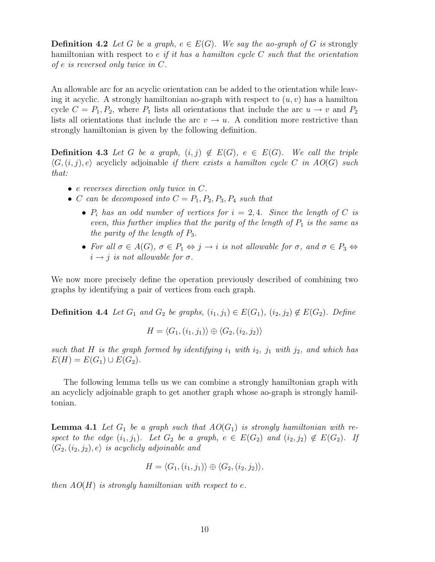**Definition 4.2** Let G be a graph,  $e \in E(G)$ . We say the ao-graph of G is strongly hamiltonian with respect to  $e$  if it has a hamilton cycle  $C$  such that the orientation of e is reversed only twice in C.

An allowable arc for an acyclic orientation can be added to the orientation while leaving it acyclic. A strongly hamiltonian ao-graph with respect to  $(u, v)$  has a hamilton cycle  $C = P_1, P_2$ , where  $P_1$  lists all orientations that include the arc  $u \to v$  and  $P_2$ lists all orientations that include the arc  $v \rightarrow u$ . A condition more restrictive than strongly hamiltonian is given by the following definition.

**Definition 4.3** Let G be a graph,  $(i, j) \notin E(G)$ ,  $e \in E(G)$ . We call the triple  $\langle G, (i, j), e \rangle$  acyclicly adjoinable if there exists a hamilton cycle C in  $AO(G)$  such that:

- e reverses direction only twice in C.
- C can be decomposed into  $C = P_1, P_2, P_3, P_4$  such that
	- $P_i$  has an odd number of vertices for  $i = 2, 4$ . Since the length of C is even, this further implies that the parity of the length of  $P_1$  is the same as the parity of the length of  $P_3$ .
	- For all  $\sigma \in A(G)$ ,  $\sigma \in P_1 \Leftrightarrow j \to i$  is not allowable for  $\sigma$ , and  $\sigma \in P_3 \Leftrightarrow$  $i \rightarrow j$  is not allowable for  $\sigma$ .

We now more precisely define the operation previously described of combining two graphs by identifying a pair of vertices from each graph.

**Definition 4.4** Let  $G_1$  and  $G_2$  be graphs,  $(i_1, j_1) \in E(G_1)$ ,  $(i_2, j_2) \notin E(G_2)$ . Define

$$
H = \langle G_1, (i_1, j_1) \rangle \oplus \langle G_2, (i_2, j_2) \rangle
$$

such that H is the graph formed by identifying  $i_1$  with  $i_2$ ,  $j_1$  with  $j_2$ , and which has  $E(H) = E(G_1) \cup E(G_2).$ 

The following lemma tells us we can combine a strongly hamiltonian graph with an acyclicly adjoinable graph to get another graph whose ao-graph is strongly hamiltonian.

**Lemma 4.1** Let  $G_1$  be a graph such that  $AO(G_1)$  is strongly hamiltonian with respect to the edge  $(i_1, j_1)$ . Let  $G_2$  be a graph,  $e \in E(G_2)$  and  $(i_2, j_2) \notin E(G_2)$ . If  $\langle G_2,(i_2,j_2), e \rangle$  is acyclicly adjoinable and

$$
H = \langle G_1, (i_1, j_1) \rangle \oplus \langle G_2, (i_2, j_2) \rangle,
$$

then  $AO(H)$  is strongly hamiltonian with respect to e.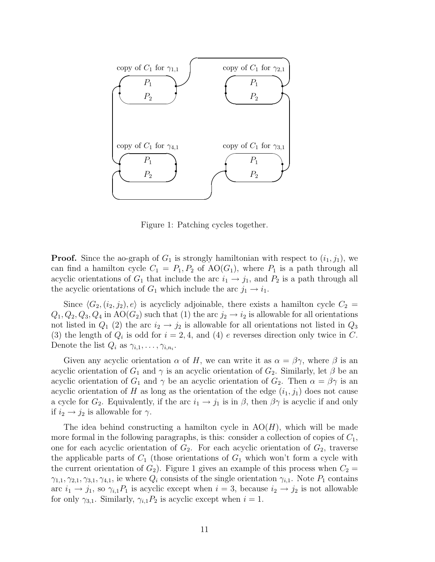

Figure 1: Patching cycles together.

**Proof.** Since the ao-graph of  $G_1$  is strongly hamiltonian with respect to  $(i_1, j_1)$ , we can find a hamilton cycle  $C_1 = P_1, P_2$  of  $AO(G_1)$ , where  $P_1$  is a path through all acyclic orientations of  $G_1$  that include the arc  $i_1 \rightarrow j_1$ , and  $P_2$  is a path through all the acyclic orientations of  $G_1$  which include the arc  $j_1 \rightarrow i_1$ .

Since  $\langle G_2, (i_2, j_2), e \rangle$  is acyclicly adjoinable, there exists a hamilton cycle  $C_2 =$  $Q_1, Q_2, Q_3, Q_4$  in  $AO(G_2)$  such that (1) the arc  $j_2 \rightarrow i_2$  is allowable for all orientations not listed in  $Q_1$  (2) the arc  $i_2 \rightarrow j_2$  is allowable for all orientations not listed in  $Q_3$ (3) the length of  $Q_i$  is odd for  $i = 2, 4$ , and (4) e reverses direction only twice in C. Denote the list  $Q_i$  as  $\gamma_{i,1}, \ldots, \gamma_{i,n_i}$ .

Given any acyclic orientation  $\alpha$  of H, we can write it as  $\alpha = \beta \gamma$ , where  $\beta$  is an acyclic orientation of  $G_1$  and  $\gamma$  is an acyclic orientation of  $G_2$ . Similarly, let  $\beta$  be an acyclic orientation of  $G_1$  and  $\gamma$  be an acyclic orientation of  $G_2$ . Then  $\alpha = \beta \gamma$  is an acyclic orientation of H as long as the orientation of the edge  $(i_1, j_1)$  does not cause a cycle for  $G_2$ . Equivalently, if the arc  $i_1 \rightarrow j_1$  is in  $\beta$ , then  $\beta\gamma$  is acyclic if and only if  $i_2 \rightarrow j_2$  is allowable for  $\gamma$ .

The idea behind constructing a hamilton cycle in  $AO(H)$ , which will be made more formal in the following paragraphs, is this: consider a collection of copies of  $C_1$ , one for each acyclic orientation of  $G_2$ . For each acyclic orientation of  $G_2$ , traverse the applicable parts of  $C_1$  (those orientations of  $G_1$  which won't form a cycle with the current orientation of  $G_2$ ). Figure 1 gives an example of this process when  $C_2$  =  $\gamma_{1,1}, \gamma_{2,1}, \gamma_{3,1}, \gamma_{4,1}$ , ie where  $Q_i$  consists of the single orientation  $\gamma_{i,1}$ . Note  $P_1$  contains arc  $i_1 \rightarrow j_1$ , so  $\gamma_{i,1}P_1$  is acyclic except when  $i = 3$ , because  $i_2 \rightarrow j_2$  is not allowable for only  $\gamma_{3,1}$ . Similarly,  $\gamma_{i,1}P_2$  is acyclic except when  $i=1$ .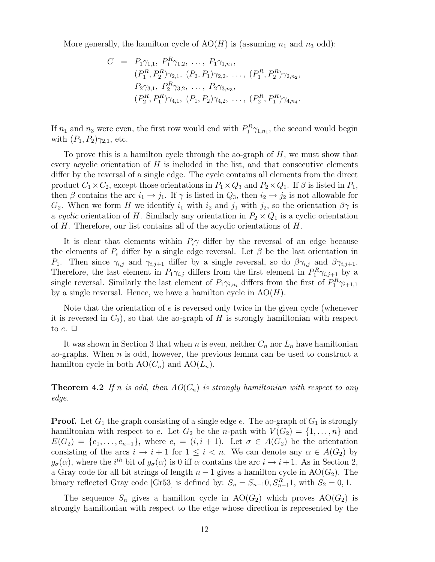More generally, the hamilton cycle of  $AO(H)$  is (assuming  $n_1$  and  $n_3$  odd):

$$
C = P_1 \gamma_{1,1}, P_1^R \gamma_{1,2}, \dots, P_1 \gamma_{1,n_1},
$$
  
\n
$$
(P_1^R, P_2^R) \gamma_{2,1}, (P_2, P_1) \gamma_{2,2}, \dots, (P_1^R, P_2^R) \gamma_{2,n_2},
$$
  
\n
$$
P_2 \gamma_{3,1}, P_2^R \gamma_{3,2}, \dots, P_2 \gamma_{3,n_3},
$$
  
\n
$$
(P_2^R, P_1^R) \gamma_{4,1}, (P_1, P_2) \gamma_{4,2}, \dots, (P_2^R, P_1^R) \gamma_{4,n_4}.
$$

If  $n_1$  and  $n_3$  were even, the first row would end with  $P_1^R \gamma_{1,n_1}$ , the second would begin with  $(P_1, P_2)_{\gamma_{2,1}}$ , etc.

To prove this is a hamilton cycle through the ao-graph of  $H$ , we must show that every acyclic orientation of  $H$  is included in the list, and that consecutive elements differ by the reversal of a single edge. The cycle contains all elements from the direct product  $C_1 \times C_2$ , except those orientations in  $P_1 \times Q_3$  and  $P_2 \times Q_1$ . If  $\beta$  is listed in  $P_1$ , then  $\beta$  contains the arc  $i_1 \rightarrow j_1$ . If  $\gamma$  is listed in  $Q_3$ , then  $i_2 \rightarrow j_2$  is not allowable for  $G_2$ . When we form H we identify  $i_1$  with  $i_2$  and  $j_1$  with  $j_2$ , so the orientation  $\beta\gamma$  is a cyclic orientation of H. Similarly any orientation in  $P_2 \times Q_1$  is a cyclic orientation of H. Therefore, our list contains all of the acyclic orientations of H.

It is clear that elements within  $P_i\gamma$  differ by the reversal of an edge because the elements of  $P_i$  differ by a single edge reversal. Let  $\beta$  be the last orientation in P<sub>1</sub>. Then since  $\gamma_{i,j}$  and  $\gamma_{i,j+1}$  differ by a single reversal, so do  $\beta\gamma_{i,j}$  and  $\beta\gamma_{i,j+1}$ . Therefore, the last element in  $P_1 \gamma_{i,j}$  differs from the first element in  $P_1^R \gamma_{i,j+1}$  by a single reversal. Similarly the last element of  $P_1\gamma_{i,n_i}$  differs from the first of  $P_1^R\gamma_{i+1,1}$ by a single reversal. Hence, we have a hamilton cycle in  $AO(H)$ .

Note that the orientation of  $e$  is reversed only twice in the given cycle (whenever it is reversed in  $C_2$ , so that the ao-graph of H is strongly hamiltonian with respect to  $e. \Box$ 

It was shown in Section 3 that when n is even, neither  $C_n$  nor  $L_n$  have hamiltonian ao-graphs. When  $n$  is odd, however, the previous lemma can be used to construct a hamilton cycle in both  $AO(C_n)$  and  $AO(L_n)$ .

**Theorem 4.2** If n is odd, then  $AO(C_n)$  is strongly hamiltonian with respect to any edge.

**Proof.** Let  $G_1$  the graph consisting of a single edge e. The ao-graph of  $G_1$  is strongly hamiltonian with respect to e. Let  $G_2$  be the *n*-path with  $V(G_2) = \{1, \ldots, n\}$  and  $E(G_2) = \{e_1, \ldots, e_{n-1}\},$  where  $e_i = (i, i + 1)$ . Let  $\sigma \in A(G_2)$  be the orientation consisting of the arcs  $i \to i + 1$  for  $1 \leq i \lt n$ . We can denote any  $\alpha \in A(G_2)$  by  $g_{\sigma}(\alpha)$ , where the i<sup>th</sup> bit of  $g_{\sigma}(\alpha)$  is 0 iff  $\alpha$  contains the arc  $i \to i+1$ . As in Section 2, a Gray code for all bit strings of length  $n-1$  gives a hamilton cycle in AO( $G_2$ ). The binary reflected Gray code [Gr53] is defined by:  $S_n = S_{n-1}0, S_{n-1}^R$ , with  $S_2 = 0, 1$ .

The sequence  $S_n$  gives a hamilton cycle in  $AO(G_2)$  which proves  $AO(G_2)$  is strongly hamiltonian with respect to the edge whose direction is represented by the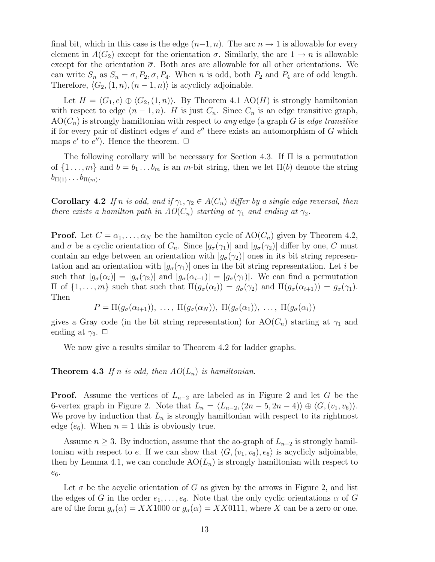final bit, which in this case is the edge  $(n-1, n)$ . The arc  $n \to 1$  is allowable for every element in  $A(G_2)$  except for the orientation  $\sigma$ . Similarly, the arc  $1 \to n$  is allowable except for the orientation  $\bar{\sigma}$ . Both arcs are allowable for all other orientations. We can write  $S_n$  as  $S_n = \sigma$ ,  $P_2$ ,  $\overline{\sigma}$ ,  $P_4$ . When n is odd, both  $P_2$  and  $P_4$  are of odd length. Therefore,  $\langle G_2,(1, n), (n - 1, n) \rangle$  is acyclicly adjoinable.

Let  $H = \langle G_1, e \rangle \oplus \langle G_2,(1,n) \rangle$ . By Theorem 4.1 AO(H) is strongly hamiltonian with respect to edge  $(n-1,n)$ . H is just  $C_n$ . Since  $C_n$  is an edge transitive graph,  $AO(C_n)$  is strongly hamiltonian with respect to any edge (a graph G is edge transitive if for every pair of distinct edges  $e'$  and  $e''$  there exists an automorphism of G which maps  $e'$  to  $e''$ ). Hence the theorem.  $\Box$ 

The following corollary will be necessary for Section 4.3. If Π is a permutation of  $\{1 \ldots, m\}$  and  $b = b_1 \ldots b_m$  is an m-bit string, then we let  $\Pi(b)$  denote the string  $b_{\Pi(1)} \ldots b_{\Pi(m)}$ .

**Corollary 4.2** If n is odd, and if  $\gamma_1, \gamma_2 \in A(C_n)$  differ by a single edge reversal, then there exists a hamilton path in  $AO(C_n)$  starting at  $\gamma_1$  and ending at  $\gamma_2$ .

**Proof.** Let  $C = \alpha_1, \ldots, \alpha_N$  be the hamilton cycle of  $AO(C_n)$  given by Theorem 4.2, and  $\sigma$  be a cyclic orientation of  $C_n$ . Since  $|g_{\sigma}(\gamma_1)|$  and  $|g_{\sigma}(\gamma_2)|$  differ by one, C must contain an edge between an orientation with  $|g_{\sigma}(\gamma_2)|$  ones in its bit string representation and an orientation with  $|g_{\sigma}(\gamma_1)|$  ones in the bit string representation. Let i be such that  $|g_{\sigma}(\alpha_i)| = |g_{\sigma}(\gamma_2)|$  and  $|g_{\sigma}(\alpha_{i+1})| = |g_{\sigma}(\gamma_1)|$ . We can find a permutation  $\Pi$  of  $\{1, \ldots, m\}$  such that such that  $\Pi(g_{\sigma}(\alpha_i)) = g_{\sigma}(\gamma_2)$  and  $\Pi(g_{\sigma}(\alpha_{i+1})) = g_{\sigma}(\gamma_1)$ . Then

 $P = \Pi(g_{\sigma}(\alpha_{i+1})), \ldots, \Pi(g_{\sigma}(\alpha_N)), \Pi(g_{\sigma}(\alpha_1)), \ldots, \Pi(g_{\sigma}(\alpha_i))$ 

gives a Gray code (in the bit string representation) for  $\text{AO}(C_n)$  starting at  $\gamma_1$  and ending at  $\gamma_2$ .  $\Box$ 

We now give a results similar to Theorem 4.2 for ladder graphs.

**Theorem 4.3** If n is odd, then  $AO(L_n)$  is hamiltonian.

**Proof.** Assume the vertices of  $L_{n-2}$  are labeled as in Figure 2 and let G be the 6-vertex graph in Figure 2. Note that  $L_n = \langle L_{n-2}, (2n-5, 2n-4) \rangle \oplus \langle G, (v_1, v_6) \rangle$ . We prove by induction that  $L_n$  is strongly hamiltonian with respect to its rightmost edge  $(e_6)$ . When  $n = 1$  this is obviously true.

Assume  $n \geq 3$ . By induction, assume that the ao-graph of  $L_{n-2}$  is strongly hamiltonian with respect to e. If we can show that  $\langle G,(v_1, v_6), e_6 \rangle$  is acyclicly adjoinable, then by Lemma 4.1, we can conclude  $AO(L_n)$  is strongly hamiltonian with respect to  $e_6$ .

Let  $\sigma$  be the acyclic orientation of G as given by the arrows in Figure 2, and list the edges of G in the order  $e_1, \ldots, e_6$ . Note that the only cyclic orientations  $\alpha$  of G are of the form  $g_{\sigma}(\alpha) = XX1000$  or  $g_{\sigma}(\alpha) = XX0111$ , where X can be a zero or one.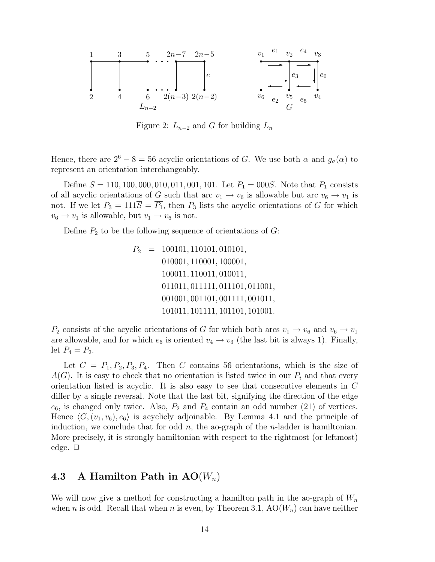

Figure 2:  $L_{n-2}$  and G for building  $L_n$ 

Hence, there are  $2^6 - 8 = 56$  acyclic orientations of G. We use both  $\alpha$  and  $g_{\sigma}(\alpha)$  to represent an orientation interchangeably.

Define  $S = 110, 100, 000, 010, 011, 001, 101$ . Let  $P_1 = 000S$ . Note that  $P_1$  consists of all acyclic orientations of G such that arc  $v_1 \rightarrow v_6$  is allowable but arc  $v_6 \rightarrow v_1$  is not. If we let  $P_3 = 111\overline{S} = \overline{P_1}$ , then  $P_3$  lists the acyclic orientations of G for which  $v_6 \rightarrow v_1$  is allowable, but  $v_1 \rightarrow v_6$  is not.

Define  $P_2$  to be the following sequence of orientations of  $G$ :

$$
P_2 = 100101, 110101, 010101, 010101, 010001, 110001, 110001, 100011, 010011, 011011, 011111, 011101, 011001, 001001, 001101, 001111, 101101, 101001, 101011, 101101, 101001.
$$

 $P_2$  consists of the acyclic orientations of G for which both arcs  $v_1 \rightarrow v_6$  and  $v_6 \rightarrow v_1$ are allowable, and for which  $e_6$  is oriented  $v_4 \rightarrow v_3$  (the last bit is always 1). Finally, let  $P_4 = \overline{P_2}$ .

Let  $C = P_1, P_2, P_3, P_4$ . Then C contains 56 orientations, which is the size of  $A(G)$ . It is easy to check that no orientation is listed twice in our  $P_i$  and that every orientation listed is acyclic. It is also easy to see that consecutive elements in C differ by a single reversal. Note that the last bit, signifying the direction of the edge  $e_6$ , is changed only twice. Also,  $P_2$  and  $P_4$  contain an odd number (21) of vertices. Hence  $\langle G,(v_1, v_6), e_6 \rangle$  is acyclicly adjoinable. By Lemma 4.1 and the principle of induction, we conclude that for odd  $n$ , the ao-graph of the *n*-ladder is hamiltonian. More precisely, it is strongly hamiltonian with respect to the rightmost (or leftmost) edge.  $\Box$ 

### 4.3 A Hamilton Path in  $AO(W_n)$

We will now give a method for constructing a hamilton path in the ao-graph of  $W_n$ when n is odd. Recall that when n is even, by Theorem 3.1,  $AO(W_n)$  can have neither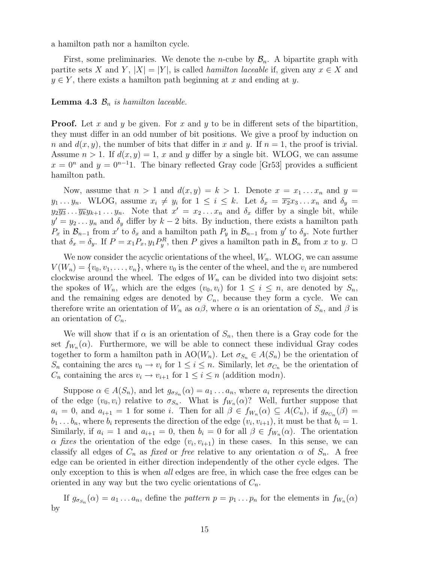a hamilton path nor a hamilton cycle.

First, some preliminaries. We denote the *n*-cube by  $\mathcal{B}_n$ . A bipartite graph with partite sets X and Y,  $|X| = |Y|$ , is called *hamilton laceable* if, given any  $x \in X$  and  $y \in Y$ , there exists a hamilton path beginning at x and ending at y.

#### **Lemma 4.3**  $\mathcal{B}_n$  is hamilton laceable.

**Proof.** Let x and y be given. For x and y to be in different sets of the bipartition, they must differ in an odd number of bit positions. We give a proof by induction on n and  $d(x, y)$ , the number of bits that differ in x and y. If  $n = 1$ , the proof is trivial. Assume  $n > 1$ . If  $d(x, y) = 1$ , x and y differ by a single bit. WLOG, we can assume  $x = 0^n$  and  $y = 0^{n-1}1$ . The binary reflected Gray code [Gr53] provides a sufficient hamilton path.

Now, assume that  $n > 1$  and  $d(x, y) = k > 1$ . Denote  $x = x_1 \dots x_n$  and  $y =$  $y_1 \ldots y_n$ . WLOG, assume  $x_i \neq y_i$  for  $1 \leq i \leq k$ . Let  $\delta_x = \overline{x_2}x_3 \ldots x_n$  and  $\delta_y =$  $y_2\overline{y_3} \ldots \overline{y_k}y_{k+1}\ldots y_n$ . Note that  $x' = x_2\ldots x_n$  and  $\delta_x$  differ by a single bit, while  $y' = y_2 \dots y_n$  and  $\delta_y$  differ by  $k-2$  bits. By induction, there exists a hamilton path  $P_x$  in  $\mathcal{B}_{n-1}$  from x' to  $\delta_x$  and a hamilton path  $P_y$  in  $\mathcal{B}_{n-1}$  from y' to  $\delta_y$ . Note further that  $\delta_x = \delta_y$ . If  $P = x_1 P_x, y_1 P_y^R$ , then P gives a hamilton path in  $\mathcal{B}_n$  from x to y.  $\Box$ 

We now consider the acyclic orientations of the wheel,  $W_n$ . WLOG, we can assume  $V(W_n) = \{v_0, v_1, \ldots, v_n\}$ , where  $v_0$  is the center of the wheel, and the  $v_i$  are numbered clockwise around the wheel. The edges of  $W_n$  can be divided into two disjoint sets: the spokes of  $W_n$ , which are the edges  $(v_0, v_i)$  for  $1 \leq i \leq n$ , are denoted by  $S_n$ , and the remaining edges are denoted by  $C_n$ , because they form a cycle. We can therefore write an orientation of  $W_n$  as  $\alpha\beta$ , where  $\alpha$  is an orientation of  $S_n$ , and  $\beta$  is an orientation of  $C_n$ .

We will show that if  $\alpha$  is an orientation of  $S_n$ , then there is a Gray code for the set  $f_{W_n}(\alpha)$ . Furthermore, we will be able to connect these individual Gray codes together to form a hamilton path in  $AO(W_n)$ . Let  $\sigma_{S_n} \in A(S_n)$  be the orientation of  $S_n$  containing the arcs  $v_0 \to v_i$  for  $1 \leq i \leq n$ . Similarly, let  $\sigma_{C_n}$  be the orientation of  $C_n$  containing the arcs  $v_i \to v_{i+1}$  for  $1 \leq i \leq n$  (addition modn).

Suppose  $\alpha \in A(S_n)$ , and let  $g_{\sigma_{S_n}}(\alpha) = a_1 \dots a_n$ , where  $a_i$  represents the direction of the edge  $(v_0, v_i)$  relative to  $\sigma_{S_n}$ . What is  $f_{W_n}(\alpha)$ ? Well, further suppose that  $a_i = 0$ , and  $a_{i+1} = 1$  for some i. Then for all  $\beta \in f_{W_n}(\alpha) \subseteq A(C_n)$ , if  $g_{\sigma_{C_n}}(\beta) =$  $b_1 \ldots b_n$ , where  $b_i$  represents the direction of the edge  $(v_i, v_{i+1})$ , it must be that  $b_i = 1$ . Similarly, if  $a_i = 1$  and  $a_{i+1} = 0$ , then  $b_i = 0$  for all  $\beta \in f_{W_n}(\alpha)$ . The orientation  $\alpha$  fixes the orientation of the edge  $(v_i, v_{i+1})$  in these cases. In this sense, we can classify all edges of  $C_n$  as fixed or free relative to any orientation  $\alpha$  of  $S_n$ . A free edge can be oriented in either direction independently of the other cycle edges. The only exception to this is when all edges are free, in which case the free edges can be oriented in any way but the two cyclic orientations of  $C_n$ .

If  $g_{\sigma_{S_n}}(\alpha) = a_1 \dots a_n$ , define the *pattern*  $p = p_1 \dots p_n$  for the elements in  $f_{W_n}(\alpha)$ by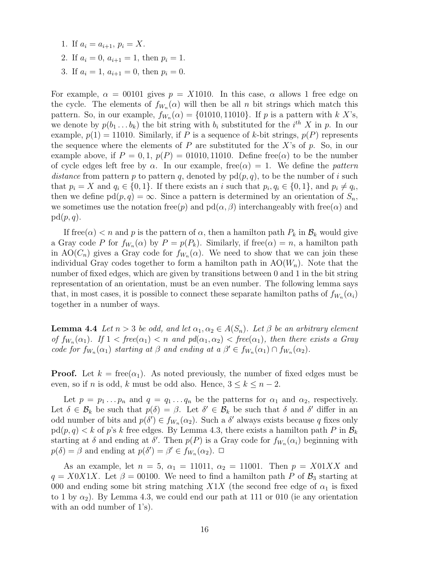- 1. If  $a_i = a_{i+1}, p_i = X$ .
- 2. If  $a_i = 0$ ,  $a_{i+1} = 1$ , then  $p_i = 1$ .
- 3. If  $a_i = 1, a_{i+1} = 0$ , then  $p_i = 0$ .

For example,  $\alpha = 00101$  gives  $p = X1010$ . In this case,  $\alpha$  allows 1 free edge on the cycle. The elements of  $f_{W_n}(\alpha)$  will then be all n bit strings which match this pattern. So, in our example,  $f_{W_n}(\alpha) = \{01010, 11010\}$ . If p is a pattern with k X's, we denote by  $p(b_1 \ldots b_k)$  the bit string with  $b_i$  substituted for the  $i^{th}$  X in p. In our example,  $p(1) = 11010$ . Similarly, if P is a sequence of k-bit strings,  $p(P)$  represents the sequence where the elements of  $P$  are substituted for the  $X$ 's of  $p$ . So, in our example above, if  $P = 0, 1, p(P) = 01010, 11010$ . Define free( $\alpha$ ) to be the number of cycle edges left free by  $\alpha$ . In our example, free $(\alpha) = 1$ . We define the *pattern* distance from pattern p to pattern q, denoted by  $pd(p, q)$ , to be the number of i such that  $p_i = X$  and  $q_i \in \{0, 1\}$ . If there exists an i such that  $p_i, q_i \in \{0, 1\}$ , and  $p_i \neq q_i$ , then we define  $\text{pd}(p, q) = \infty$ . Since a pattern is determined by an orientation of  $S_n$ , we sometimes use the notation free(p) and  $pd(\alpha, \beta)$  interchangeably with free( $\alpha$ ) and  $pd(p, q)$ .

If free( $\alpha$ )  $\lt n$  and p is the pattern of  $\alpha$ , then a hamilton path  $P_k$  in  $\mathcal{B}_k$  would give a Gray code P for  $f_{W_n}(\alpha)$  by  $P = p(P_k)$ . Similarly, if free $(\alpha) = n$ , a hamilton path in  $AO(C_n)$  gives a Gray code for  $f_{W_n}(\alpha)$ . We need to show that we can join these individual Gray codes together to form a hamilton path in  $AO(W_n)$ . Note that the number of fixed edges, which are given by transitions between 0 and 1 in the bit string representation of an orientation, must be an even number. The following lemma says that, in most cases, it is possible to connect these separate hamilton paths of  $f_{W_n}(\alpha_i)$ together in a number of ways.

**Lemma 4.4** Let  $n > 3$  be odd, and let  $\alpha_1, \alpha_2 \in A(S_n)$ . Let  $\beta$  be an arbitrary element of  $f_{W_n}(\alpha_1)$ . If  $1 < free(\alpha_1) < n$  and  $pd(\alpha_1, \alpha_2) < free(\alpha_1)$ , then there exists a Gray code for  $f_{W_n}(\alpha_1)$  starting at  $\beta$  and ending at  $a \beta' \in f_{W_n}(\alpha_1) \cap f_{W_n}(\alpha_2)$ .

**Proof.** Let  $k = \text{free}(\alpha_1)$ . As noted previously, the number of fixed edges must be even, so if *n* is odd, *k* must be odd also. Hence,  $3 \leq k \leq n-2$ .

Let  $p = p_1 \dots p_n$  and  $q = q_1 \dots q_n$  be the patterns for  $\alpha_1$  and  $\alpha_2$ , respectively. Let  $\delta \in \mathcal{B}_k$  be such that  $p(\delta) = \beta$ . Let  $\delta' \in \mathcal{B}_k$  be such that  $\delta$  and  $\delta'$  differ in an odd number of bits and  $p(\delta') \in f_{W_n}(\alpha_2)$ . Such a  $\delta'$  always exists because q fixes only  $\text{pd}(p,q) < k$  of p's k free edges. By Lemma 4.3, there exists a hamilton path P in  $\mathcal{B}_k$ starting at  $\delta$  and ending at  $\delta'$ . Then  $p(P)$  is a Gray code for  $f_{W_n}(\alpha_i)$  beginning with  $p(\delta) = \beta$  and ending at  $p(\delta') = \beta' \in f_{W_n}(\alpha_2)$ .  $\Box$ 

As an example, let  $n = 5$ ,  $\alpha_1 = 11011$ ,  $\alpha_2 = 11001$ . Then  $p = X01XX$  and  $q = X0X1X$ . Let  $\beta = 00100$ . We need to find a hamilton path P of  $\mathcal{B}_3$  starting at 000 and ending some bit string matching  $X1X$  (the second free edge of  $\alpha_1$  is fixed to 1 by  $\alpha_2$ ). By Lemma 4.3, we could end our path at 111 or 010 (ie any orientation with an odd number of 1's).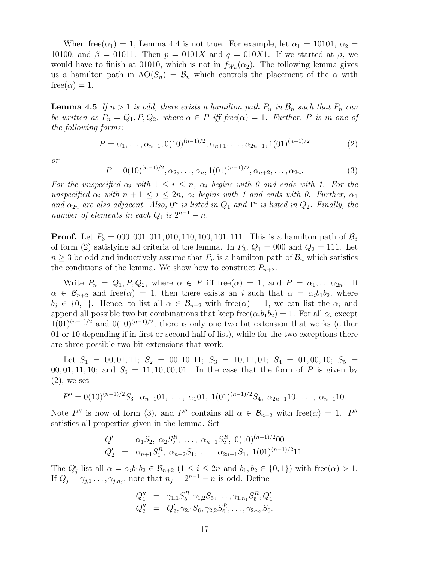When free $(\alpha_1) = 1$ , Lemma 4.4 is not true. For example, let  $\alpha_1 = 10101$ ,  $\alpha_2 =$ 10100, and  $\beta = 01011$ . Then  $p = 0101X$  and  $q = 010X1$ . If we started at  $\beta$ , we would have to finish at 01010, which is not in  $f_{W_n}(\alpha_2)$ . The following lemma gives us a hamilton path in  $AO(S_n) = B_n$  which controls the placement of the  $\alpha$  with  $free(\alpha) = 1.$ 

**Lemma 4.5** If  $n > 1$  is odd, there exists a hamilton path  $P_n$  in  $\mathcal{B}_n$  such that  $P_n$  can be written as  $P_n = Q_1, P, Q_2$ , where  $\alpha \in P$  iff free $(\alpha) = 1$ . Further, P is in one of the following forms:

$$
P = \alpha_1, \dots, \alpha_{n-1}, 0(10)^{(n-1)/2}, \alpha_{n+1}, \dots, \alpha_{2n-1}, 1(01)^{(n-1)/2}
$$
 (2)

or

$$
P = 0(10)^{(n-1)/2}, \alpha_2, \dots, \alpha_n, 1(01)^{(n-1)/2}, \alpha_{n+2}, \dots, \alpha_{2n}.
$$
 (3)

For the unspecified  $\alpha_i$  with  $1 \leq i \leq n$ ,  $\alpha_i$  begins with 0 and ends with 1. For the unspecified  $\alpha_i$  with  $n + 1 \leq i \leq 2n$ ,  $\alpha_i$  begins with 1 and ends with 0. Further,  $\alpha_1$ and  $\alpha_{2n}$  are also adjacent. Also,  $0^n$  is listed in  $Q_1$  and  $1^n$  is listed in  $Q_2$ . Finally, the number of elements in each  $Q_i$  is  $2^{n-1} - n$ .

**Proof.** Let  $P_3 = 000, 001, 011, 010, 110, 100, 101, 111$ . This is a hamilton path of  $\mathcal{B}_3$ of form (2) satisfying all criteria of the lemma. In  $P_3$ ,  $Q_1 = 000$  and  $Q_2 = 111$ . Let  $n \geq 3$  be odd and inductively assume that  $P_n$  is a hamilton path of  $\mathcal{B}_n$  which satisfies the conditions of the lemma. We show how to construct  $P_{n+2}$ .

Write  $P_n = Q_1, P, Q_2$ , where  $\alpha \in P$  iff free $(\alpha) = 1$ , and  $P = \alpha_1, \ldots \alpha_{2n}$ . If  $\alpha \in \mathcal{B}_{n+2}$  and free( $\alpha$ ) = 1, then there exists an i such that  $\alpha = \alpha_i b_1 b_2$ , where  $b_i \in \{0,1\}$ . Hence, to list all  $\alpha \in \mathcal{B}_{n+2}$  with free( $\alpha$ ) = 1, we can list the  $\alpha_i$  and append all possible two bit combinations that keep free $(\alpha_i b_1 b_2) = 1$ . For all  $\alpha_i$  except  $1(01)^{(n-1)/2}$  and  $0(10)^{(n-1)/2}$ , there is only one two bit extension that works (either 01 or 10 depending if in first or second half of list), while for the two exceptions there are three possible two bit extensions that work.

Let  $S_1 = 00, 01, 11; S_2 = 00, 10, 11; S_3 = 10, 11, 01; S_4 = 01, 00, 10; S_5 =$ 00, 01, 11, 10; and  $S_6 = 11, 10, 00, 01$ . In the case that the form of P is given by  $(2)$ , we set

$$
P'' = 0(10)^{(n-1)/2} S_3, \ \alpha_{n-1} 01, \ \ldots, \ \alpha_1 01, \ 1(01)^{(n-1)/2} S_4, \ \alpha_{2n-1} 10, \ \ldots, \ \alpha_{n+1} 10.
$$

Note P'' is now of form (3), and P'' contains all  $\alpha \in \mathcal{B}_{n+2}$  with free( $\alpha$ ) = 1. P'' satisfies all properties given in the lemma. Set

$$
Q'_1 = \alpha_1 S_2, \ \alpha_2 S_2^R, \ \ldots, \ \alpha_{n-1} S_2^R, \ 0(10)^{(n-1)/2} 00
$$
  
\n
$$
Q'_2 = \alpha_{n+1} S_1^R, \ \alpha_{n+2} S_1, \ \ldots, \ \alpha_{2n-1} S_1, \ 1(01)^{(n-1)/2} 11.
$$

The  $Q'_j$  list all  $\alpha = \alpha_i b_1 b_2 \in \mathcal{B}_{n+2}$   $(1 \le i \le 2n$  and  $b_1, b_2 \in \{0, 1\})$  with free $(\alpha) > 1$ . If  $Q_j = \gamma_{j,1} \ldots, \gamma_{j,n_j}$ , note that  $n_j = 2^{n-1} - n$  is odd. Define

$$
Q_1'' = \gamma_{1,1} S_5^R, \gamma_{1,2} S_5, \dots, \gamma_{1,n_1} S_5^R, Q_1'
$$
  

$$
Q_2'' = Q_2', \gamma_{2,1} S_6, \gamma_{2,2} S_6^R, \dots, \gamma_{2,n_2} S_6.
$$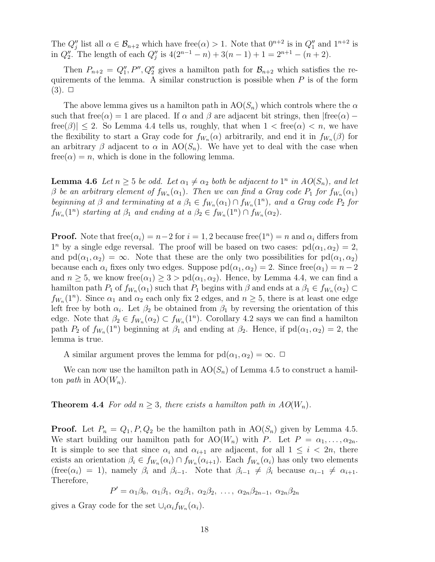The  $Q''_j$  list all  $\alpha \in \mathcal{B}_{n+2}$  which have free $(\alpha) > 1$ . Note that  $0^{n+2}$  is in  $Q''_1$  and  $1^{n+2}$  is in  $Q''_2$ . The length of each  $Q''_j$  is  $4(2^{n-1}-n) + 3(n-1) + 1 = 2^{n+1} - (n+2)$ .

Then  $P_{n+2} = Q''_1, P'', Q''_2$  gives a hamilton path for  $\mathcal{B}_{n+2}$  which satisfies the requirements of the lemma. A similar construction is possible when  $P$  is of the form  $(3)$ .  $\Box$ 

The above lemma gives us a hamilton path in  $AO(S_n)$  which controls where the  $\alpha$ such that free( $\alpha$ ) = 1 are placed. If  $\alpha$  and  $\beta$  are adjacent bit strings, then  $|free(\alpha)$  –  $free(\beta)| \leq 2$ . So Lemma 4.4 tells us, roughly, that when  $1 < free(\alpha) < n$ , we have the flexibility to start a Gray code for  $f_{W_n}(\alpha)$  arbitrarily, and end it in  $f_{W_n}(\beta)$  for an arbitrary  $\beta$  adjacent to  $\alpha$  in  $AO(S_n)$ . We have yet to deal with the case when  $free(\alpha) = n$ , which is done in the following lemma.

**Lemma 4.6** Let  $n \geq 5$  be odd. Let  $\alpha_1 \neq \alpha_2$  both be adjacent to  $1^n$  in  $AO(S_n)$ , and let  $\beta$  be an arbitrary element of  $f_{W_n}(\alpha_1)$ . Then we can find a Gray code  $P_1$  for  $f_{W_n}(\alpha_1)$ beginning at  $\beta$  and terminating at a  $\beta_1 \in f_{W_n}(\alpha_1) \cap f_{W_n}(1^n)$ , and a Gray code  $P_2$  for  $f_{W_n}(1^n)$  starting at  $\beta_1$  and ending at  $a \beta_2 \in f_{W_n}(1^n) \cap f_{W_n}(\alpha_2)$ .

**Proof.** Note that  $free(\alpha_i) = n-2$  for  $i = 1, 2$  because  $free(1^n) = n$  and  $\alpha_i$  differs from  $1^n$  by a single edge reversal. The proof will be based on two cases:  $pd(\alpha_1, \alpha_2) = 2$ , and  $\text{pd}(\alpha_1, \alpha_2) = \infty$ . Note that these are the only two possibilities for  $\text{pd}(\alpha_1, \alpha_2)$ because each  $\alpha_i$  fixes only two edges. Suppose  $\text{pd}(\alpha_1, \alpha_2) = 2$ . Since free $(\alpha_1) = n - 2$ and  $n \geq 5$ , we know free $(\alpha_1) \geq 3 > \text{pd}(\alpha_1, \alpha_2)$ . Hence, by Lemma 4.4, we can find a hamilton path  $P_1$  of  $f_{W_n}(\alpha_1)$  such that  $P_1$  begins with  $\beta$  and ends at a  $\beta_1 \in f_{W_n}(\alpha_2) \subset$  $f_{W_n}(1^n)$ . Since  $\alpha_1$  and  $\alpha_2$  each only fix 2 edges, and  $n \geq 5$ , there is at least one edge left free by both  $\alpha_i$ . Let  $\beta_2$  be obtained from  $\beta_1$  by reversing the orientation of this edge. Note that  $\beta_2 \in f_{W_n}(\alpha_2) \subset f_{W_n}(1^n)$ . Corollary 4.2 says we can find a hamilton path  $P_2$  of  $f_{W_n}(1^n)$  beginning at  $\beta_1$  and ending at  $\beta_2$ . Hence, if  $\text{pd}(\alpha_1, \alpha_2) = 2$ , the lemma is true.

A similar argument proves the lemma for  $pd(\alpha_1, \alpha_2) = \infty$ .  $\Box$ 

We can now use the hamilton path in  $AO(S_n)$  of Lemma 4.5 to construct a hamilton path in  $AO(W_n)$ .

**Theorem 4.4** For odd  $n \geq 3$ , there exists a hamilton path in  $AO(W_n)$ .

**Proof.** Let  $P_n = Q_1, P, Q_2$  be the hamilton path in  $AO(S_n)$  given by Lemma 4.5. We start building our hamilton path for  $\text{AO}(W_n)$  with P. Let  $P = \alpha_1, \ldots, \alpha_{2n}$ . It is simple to see that since  $\alpha_i$  and  $\alpha_{i+1}$  are adjacent, for all  $1 \leq i < 2n$ , there exists an orientation  $\beta_i \in f_{W_n}(\alpha_i) \cap f_{W_n}(\alpha_{i+1})$ . Each  $f_{W_n}(\alpha_i)$  has only two elements (free( $\alpha_i$ ) = 1), namely  $\beta_i$  and  $\beta_{i-1}$ . Note that  $\beta_{i-1} \neq \beta_i$  because  $\alpha_{i-1} \neq \alpha_{i+1}$ . Therefore,

$$
P' = \alpha_1 \beta_0, \ \alpha_1 \beta_1, \ \alpha_2 \beta_1, \ \alpha_2 \beta_2, \ \ldots, \ \alpha_{2n} \beta_{2n-1}, \ \alpha_{2n} \beta_{2n}
$$

gives a Gray code for the set  $\cup_i \alpha_i f_{W_n}(\alpha_i)$ .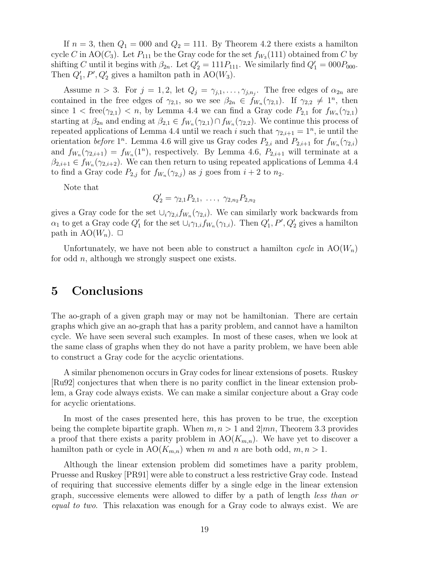If  $n = 3$ , then  $Q_1 = 000$  and  $Q_2 = 111$ . By Theorem 4.2 there exists a hamilton cycle C in AO( $C_3$ ). Let  $P_{111}$  be the Gray code for the set  $f_{W_3}(111)$  obtained from C by shifting C until it begins with  $\beta_{2n}$ . Let  $Q'_{2} = 111P_{111}$ . We similarly find  $Q'_{1} = 000P_{000}$ . Then  $Q'_1$ , P',  $Q'_2$  gives a hamilton path in AO( $W_3$ ).

Assume  $n > 3$ . For  $j = 1, 2$ , let  $Q_j = \gamma_{j,1}, \ldots, \gamma_{j,n_j}$ . The free edges of  $\alpha_{2n}$  are contained in the free edges of  $\gamma_{2,1}$ , so we see  $\beta_{2n} \in f_{W_n}(\gamma_{2,1})$ . If  $\gamma_{2,2} \neq 1^n$ , then since  $1 < \text{free}(\gamma_{2,1}) < n$ , by Lemma 4.4 we can find a Gray code  $P_{2,1}$  for  $f_{W_n}(\gamma_{2,1})$ starting at  $\beta_{2n}$  and ending at  $\beta_{2,1} \in f_{W_n}(\gamma_{2,1}) \cap f_{W_n}(\gamma_{2,2})$ . We continue this process of repeated applications of Lemma 4.4 until we reach i such that  $\gamma_{2,i+1} = 1^n$ , ie until the orientation before 1<sup>n</sup>. Lemma 4.6 will give us Gray codes  $P_{2,i}$  and  $P_{2,i+1}$  for  $f_{W_n}(\gamma_{2,i})$ and  $f_{W_n}(\gamma_{2,i+1}) = f_{W_n}(1^n)$ , respectively. By Lemma 4.6,  $P_{2,i+1}$  will terminate at a  $\beta_{2,i+1} \in f_{W_n}(\gamma_{2,i+2})$ . We can then return to using repeated applications of Lemma 4.4 to find a Gray code  $P_{2,j}$  for  $f_{W_n}(\gamma_{2,j})$  as j goes from  $i+2$  to  $n_2$ .

Note that

$$
Q'_2 = \gamma_{2,1} P_{2,1}, \ldots, \gamma_{2,n_2} P_{2,n_2}
$$

gives a Gray code for the set  $\cup_i \gamma_{2,i} f_{W_n}(\gamma_{2,i})$ . We can similarly work backwards from  $\alpha_1$  to get a Gray code  $Q'_1$  for the set  $\cup_i \gamma_{1,i} f_{W_n}(\gamma_{1,i})$ . Then  $Q'_1, P', Q'_2$  gives a hamilton path in AO $(W_n)$ .  $\Box$ 

Unfortunately, we have not been able to construct a hamilton cycle in  $AO(W_n)$ for odd  $n$ , although we strongly suspect one exists.

### 5 Conclusions

The ao-graph of a given graph may or may not be hamiltonian. There are certain graphs which give an ao-graph that has a parity problem, and cannot have a hamilton cycle. We have seen several such examples. In most of these cases, when we look at the same class of graphs when they do not have a parity problem, we have been able to construct a Gray code for the acyclic orientations.

A similar phenomenon occurs in Gray codes for linear extensions of posets. Ruskey [Ru92] conjectures that when there is no parity conflict in the linear extension problem, a Gray code always exists. We can make a similar conjecture about a Gray code for acyclic orientations.

In most of the cases presented here, this has proven to be true, the exception being the complete bipartite graph. When  $m, n > 1$  and  $2 \mid mn$ , Theorem 3.3 provides a proof that there exists a parity problem in  $AO(K_{m,n})$ . We have yet to discover a hamilton path or cycle in  $AO(K_{m,n})$  when m and n are both odd,  $m, n > 1$ .

Although the linear extension problem did sometimes have a parity problem, Pruesse and Ruskey [PR91] were able to construct a less restrictive Gray code. Instead of requiring that successive elements differ by a single edge in the linear extension graph, successive elements were allowed to differ by a path of length less than or equal to two. This relaxation was enough for a Gray code to always exist. We are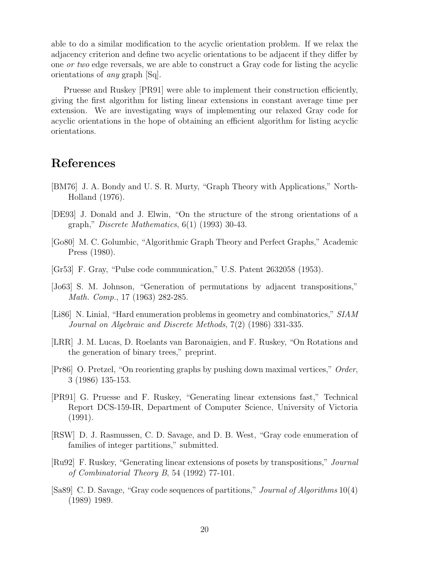able to do a similar modification to the acyclic orientation problem. If we relax the adjacency criterion and define two acyclic orientations to be adjacent if they differ by one or two edge reversals, we are able to construct a Gray code for listing the acyclic orientations of any graph [Sq].

Pruesse and Ruskey [PR91] were able to implement their construction efficiently, giving the first algorithm for listing linear extensions in constant average time per extension. We are investigating ways of implementing our relaxed Gray code for acyclic orientations in the hope of obtaining an efficient algorithm for listing acyclic orientations.

### References

- [BM76] J. A. Bondy and U. S. R. Murty, "Graph Theory with Applications," North-Holland (1976).
- [DE93] J. Donald and J. Elwin, "On the structure of the strong orientations of a graph," Discrete Mathematics, 6(1) (1993) 30-43.
- [Go80] M. C. Golumbic, "Algorithmic Graph Theory and Perfect Graphs," Academic Press (1980).
- [Gr53] F. Gray, "Pulse code communication," U.S. Patent 2632058 (1953).
- [Jo63] S. M. Johnson, "Generation of permutations by adjacent transpositions," Math. Comp., 17 (1963) 282-285.
- [Li86] N. Linial, "Hard enumeration problems in geometry and combinatorics," SIAM Journal on Algebraic and Discrete Methods, 7(2) (1986) 331-335.
- [LRR] J. M. Lucas, D. Roelants van Baronaigien, and F. Ruskey, "On Rotations and the generation of binary trees," preprint.
- [Pr86] O. Pretzel, "On reorienting graphs by pushing down maximal vertices," Order, 3 (1986) 135-153.
- [PR91] G. Pruesse and F. Ruskey, "Generating linear extensions fast," Technical Report DCS-159-IR, Department of Computer Science, University of Victoria (1991).
- [RSW] D. J. Rasmussen, C. D. Savage, and D. B. West, "Gray code enumeration of families of integer partitions," submitted.
- [Ru92] F. Ruskey, "Generating linear extensions of posets by transpositions," Journal of Combinatorial Theory B, 54 (1992) 77-101.
- [Sa89] C. D. Savage, "Gray code sequences of partitions," Journal of Algorithms 10(4) (1989) 1989.